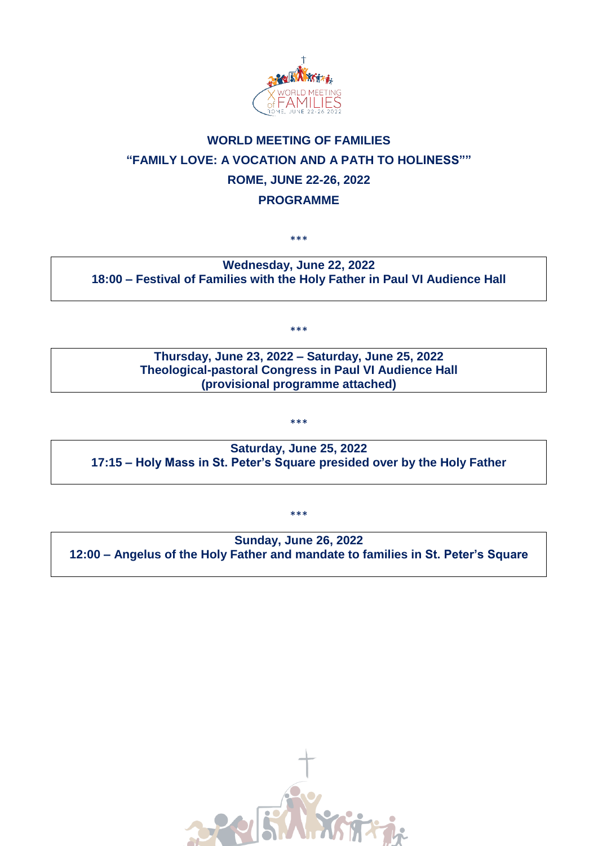

# **WORLD MEETING OF FAMILIES "FAMILY LOVE: A VOCATION AND A PATH TO HOLINESS"" ROME, JUNE 22-26, 2022 PROGRAMME**

\*\*\*

## **Wednesday, June 22, 2022 18:00 – Festival of Families with the Holy Father in Paul VI Audience Hall**

\*\*\*

#### **Thursday, June 23, 2022 – Saturday, June 25, 2022 Theological-pastoral Congress in Paul VI Audience Hall (provisional programme attached)**

\*\*\*

**Saturday, June 25, 2022 17:15 – Holy Mass in St. Peter's Square presided over by the Holy Father** 

**Sunday, June 26, 2022 12:00 – Angelus of the Holy Father and mandate to families in St. Peter's Square**

\*\*\*

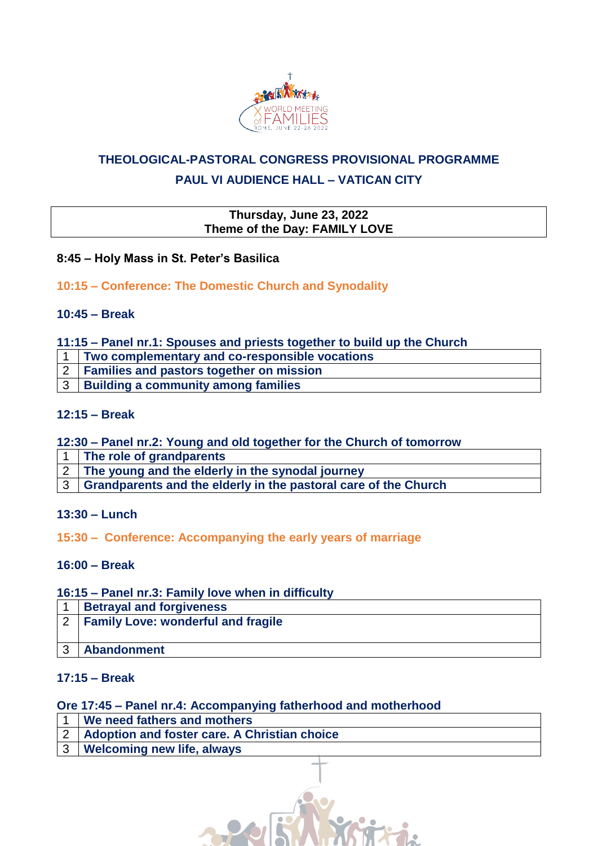

# **THEOLOGICAL-PASTORAL CONGRESS PROVISIONAL PROGRAMME PAUL VI AUDIENCE HALL – VATICAN CITY**

#### **Thursday, June 23, 2022 Theme of the Day: FAMILY LOVE**

## **8:45 – Holy Mass in St. Peter's Basilica**

# **10:15 – Conference: The Domestic Church and Synodality**

## **10:45 – Break**

#### **11:15 – Panel nr.1: Spouses and priests together to build up the Church**

- 1 **Two complementary and co-responsible vocations**
- 2 **Families and pastors together on mission**
- 3 **Building a community among families**

#### **12:15 – Break**

## **12:30 – Panel nr.2: Young and old together for the Church of tomorrow**

- 1 **The role of grandparents**
- 2 **The young and the elderly in the synodal journey**
- 3 **Grandparents and the elderly in the pastoral care of the Church**

#### **13:30 – Lunch**

#### **15:30 – Conference: Accompanying the early years of marriage**

#### **16:00 – Break**

#### **16:15 – Panel nr.3: Family love when in difficulty**

| <b>Betrayal and forgiveness</b>           |
|-------------------------------------------|
| <b>Family Love: wonderful and fragile</b> |
|                                           |
| <b>Abandonment</b>                        |

# **17:15 – Break**

#### **Ore 17:45 – Panel nr.4: Accompanying fatherhood and motherhood**

|  | We need fathers and mothers                      |  |
|--|--------------------------------------------------|--|
|  | 2   Adoption and foster care. A Christian choice |  |
|  | 3   Welcoming new life, always                   |  |
|  |                                                  |  |

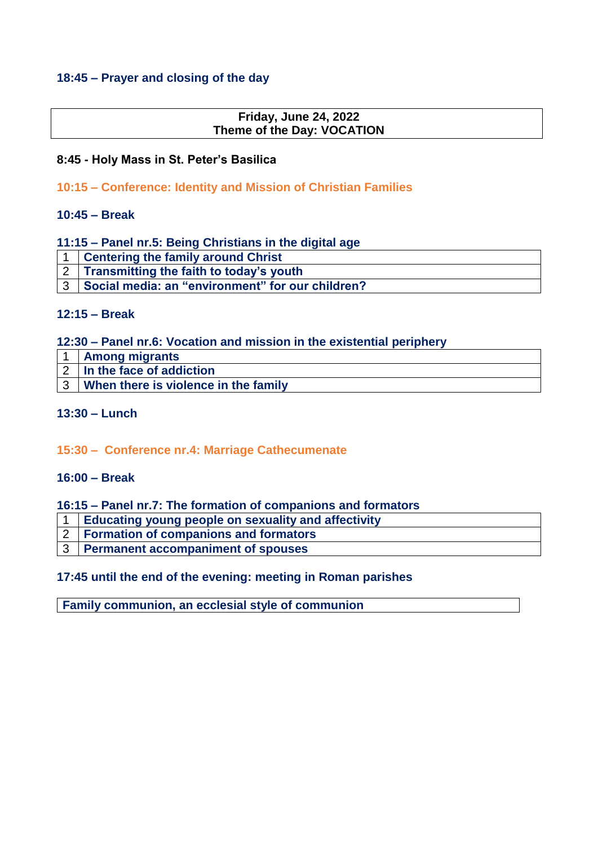## **18:45 – Prayer and closing of the day**

## **Friday, June 24, 2022 Theme of the Day: VOCATION**

## **8:45 - Holy Mass in St. Peter's Basilica**

## **10:15 – Conference: Identity and Mission of Christian Families**

#### **10:45 – Break**

#### **11:15 – Panel nr.5: Being Christians in the digital age**

1 **Centering the family around Christ**

3 **Social media: an "environment" for our children?**

#### **12:15 – Break**

#### **12:30 – Panel nr.6: Vocation and mission in the existential periphery**

| <b>Among migrants</b>                |
|--------------------------------------|
| 2   In the face of addiction         |
| When there is violence in the family |

#### **13:30 – Lunch**

#### **15:30 – Conference nr.4: Marriage Cathecumenate**

#### **16:00 – Break**

#### **16:15 – Panel nr.7: The formation of companions and formators**

- 1 **Educating young people on sexuality and affectivity**
- 2 **Formation of companions and formators**
- 3 **Permanent accompaniment of spouses**

#### **17:45 until the end of the evening: meeting in Roman parishes**

**Family communion, an ecclesial style of communion**